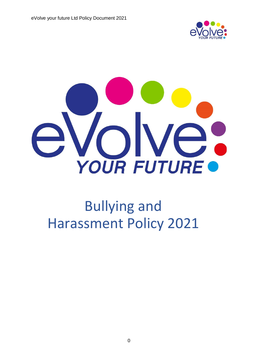



# Bullying and Harassment Policy 2021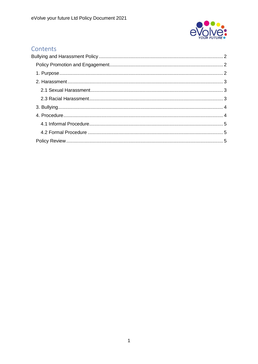

# Contents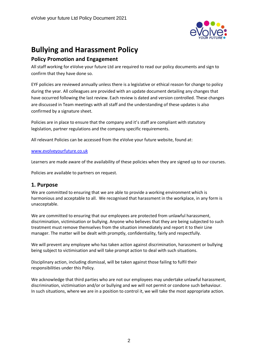

# <span id="page-2-0"></span>**Bullying and Harassment Policy**

## <span id="page-2-1"></span>**Policy Promotion and Engagement**

All staff working for eVolve your future Ltd are required to read our policy documents and sign to confirm that they have done so.

EYF policies are reviewed annually unless there is a legislative or ethical reason for change to policy during the year. All colleagues are provided with an update document detailing any changes that have occurred following the last review. Each review is dated and version controlled. These changes are discussed in Team meetings with all staff and the understanding of these updates is also confirmed by a signature sheet.

Policies are in place to ensure that the company and it's staff are compliant with statutory legislation, partner regulations and the company specific requirements.

All relevant Policies can be accessed from the eVolve your future website, found at:

#### [www.evolveyourfuture.co.uk](http://www.evolveyourfuture.co.uk/)

Learners are made aware of the availability of these policies when they are signed up to our courses.

Policies are available to partners on request.

#### <span id="page-2-2"></span>**1. Purpose**

We are committed to ensuring that we are able to provide a working environment which is harmonious and acceptable to all. We recognised that harassment in the workplace, in any form is unacceptable.

We are committed to ensuring that our employees are protected from unlawful harassment, discrimination, victimisation or bullying. Anyone who believes that they are being subjected to such treatment must remove themselves from the situation immediately and report it to their Line manager. The matter will be dealt with promptly, confidentiality, fairly and respectfully.

We will prevent any employee who has taken action against discrimination, harassment or bullying being subject to victimisation and will take prompt action to deal with such situations.

Disciplinary action, including dismissal, will be taken against those failing to fulfil their responsibilities under this Policy.

We acknowledge that third parties who are not our employees may undertake unlawful harassment, discrimination, victimisation and/or or bullying and we will not permit or condone such behaviour. In such situations, where we are in a position to control it, we will take the most appropriate action.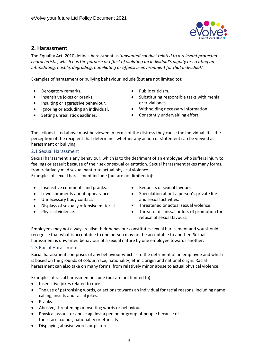

# <span id="page-3-0"></span>**2. Harassment**

The Equality Act, 2010 defines harassment as *'unwanted conduct related to a relevant protected characteristic, which has the purpose or effect of violating an individual's dignity or creating an intimidating, hostile, degrading, humiliating or offensive environment for that individual.'*

Examples of harassment or bullying behaviour include (but are not limited to):

- Derogatory remarks.
- Insensitive jokes or pranks.
- Insulting or aggressive behaviour.
- Ignoring or excluding an individual.
- Setting unrealistic deadlines.
- Public criticism.
- Substituting responsible tasks with menial or trivial ones.
- Withholding necessary information.
- Constantly undervaluing effort.

The actions listed above must be viewed in terms of the distress they cause the individual. It is the perception of the recipient that determines whether any action or statement can be viewed as harassment or bullying.

#### <span id="page-3-1"></span>2.1 Sexual Harassment

Sexual harassment is any behaviour, which is to the detriment of an employee who suffers injury to feelings or assault because of their sex or sexual orientation. Sexual harassment takes many forms, from relatively mild sexual banter to actual physical violence.

Examples of sexual harassment include (but are not limited to):

- Insensitive comments and pranks.
- Lewd comments about appearance.
- Unnecessary body contact.
- Displays of sexually offensive material.
- Physical violence.
- Requests of sexual favours.
- Speculation about a person's private life and sexual activities.
- Threatened or actual sexual violence.
- Threat of dismissal or loss of promotion for refusal of sexual favours.

Employees may not always realise their behaviour constitutes sexual harassment and you should recognise that what is acceptable to one person may not be acceptable to another. Sexual harassment is unwanted behaviour of a sexual nature by one employee towards another.

#### <span id="page-3-2"></span>2.3 Racial Harassment

Racial harassment comprises of any behaviour which is to the detriment of an employee and which is based on the grounds of colour, race, nationality, ethnic origin and national origin. Racial harassment can also take on many forms, from relatively minor abuse to actual physical violence.

Examples of racial harassment include (but are not limited to):

- Insensitive jokes related to race.
- The use of patronising words, or actions towards an individual for racial reasons, including name calling, insults and racial jokes.
- Pranks.
- Abusive, threatening or insulting words or behaviour.
- Physical assault or abuse against a person or group of people because of their race, colour, nationality or ethnicity.
- Displaying abusive words or pictures.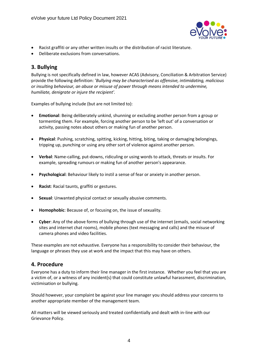

- Racist graffiti or any other written insults or the distribution of racist literature.
- Deliberate exclusions from conversations.

## <span id="page-4-0"></span>**3. Bullying**

Bullying is not specifically defined in law, however ACAS (Advisory, Conciliation & Arbitration Service) provide the following definition: *'Bullying may be characterised as offensive, intimidating, malicious or insulting behaviour, an abuse or misuse of power through means intended to undermine, humiliate, denigrate or injure the recipient'.*

Examples of bullying include (but are not limited to):

- **Emotional**: Being deliberately unkind, shunning or excluding another person from a group or tormenting them. For example, forcing another person to be 'left out' of a conversation or activity, passing notes about others or making fun of another person.
- **Physical**: Pushing, scratching, spitting, kicking, hitting, biting, taking or damaging belongings, tripping up, punching or using any other sort of violence against another person.
- **Verbal**: Name-calling, put-downs, ridiculing or using words to attack, threats or insults. For example, spreading rumours or making fun of another person's appearance.
- **Psychological**: Behaviour likely to instil a sense of fear or anxiety in another person.
- **Racist**: Racial taunts, graffiti or gestures.
- **Sexual**: Unwanted physical contact or sexually abusive comments.
- **Homophobic**: Because of, or focusing on, the issue of sexuality.
- **Cyber**: Any of the above forms of bullying through use of the internet (emails, social networking sites and internet chat rooms), mobile phones (text messaging and calls) and the misuse of camera phones and video facilities.

These examples are not exhaustive. Everyone has a responsibility to consider their behaviour, the language or phrases they use at work and the impact that this may have on others.

#### <span id="page-4-1"></span>**4. Procedure**

Everyone has a duty to inform their line manager in the first instance. Whether you feel that you are a victim of, or a witness of any incident(s) that could constitute unlawful harassment, discrimination, victimisation or bullying.

Should however, your complaint be against your line manager you should address your concerns to another appropriate member of the management team.

All matters will be viewed seriously and treated confidentially and dealt with in-line with our Grievance Policy.